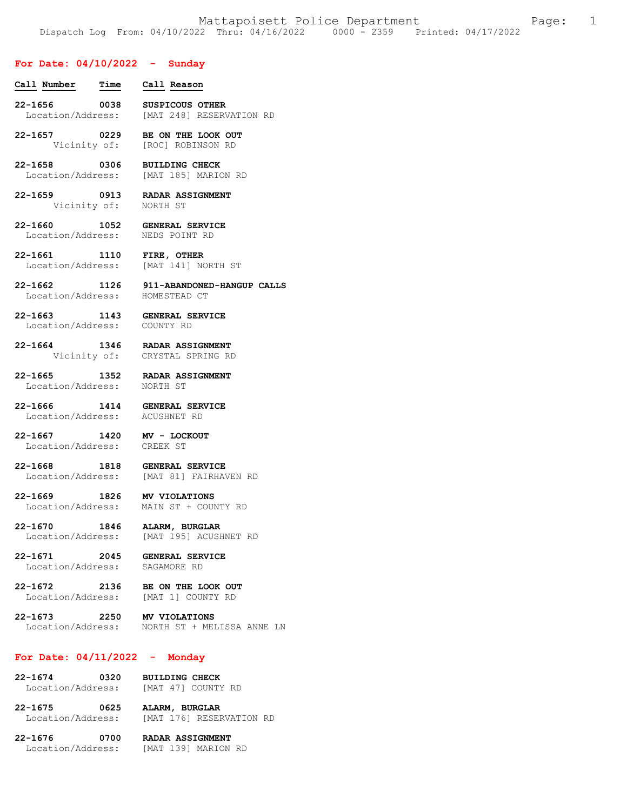### **For Date: 04/10/2022 - Sunday**

- **Call Number Time Call Reason 22-1656 0038 SUSPICOUS OTHER**  Location/Address: [MAT 248] RESERVATION RD **22-1657 0229 BE ON THE LOOK OUT**  Vicinity of: [ROC] ROBINSON RD **22-1658 0306 BUILDING CHECK**  Location/Address: [MAT 185] MARION RD **22-1659 0913 RADAR ASSIGNMENT**  Vicinity of: **22-1660 1052 GENERAL SERVICE**  Location/Address: **22-1661 1110 FIRE, OTHER**  Location/Address: [MAT 141] NORTH ST **22-1662 1126 911-ABANDONED-HANGUP CALLS**  Location/Address: **22-1663 1143 GENERAL SERVICE**  Location/Address: **22-1664 1346 RADAR ASSIGNMENT**  Vicinity of: CRYSTAL SPRING RD **22-1665 1352 RADAR ASSIGNMENT**  Location/Address: **22-1666 1414 GENERAL SERVICE**  Location/Address: ACUSHNET RD **22-1667 1420 MV - LOCKOUT**  Location/Address: CREEK ST **22-1668 1818 GENERAL SERVICE**  Location/Address: [MAT 81] FAIRHAVEN RD **22-1669 1826 MV VIOLATIONS**  MAIN ST + COUNTY RD **22-1670 1846 ALARM, BURGLAR**  Location/Address: [MAT 195] ACUSHNET RD **22-1671 2045 GENERAL SERVICE**  Location/Address: **22-1672 2136 BE ON THE LOOK OUT**  Location/Address: [MAT 1] COUNTY RD **22-1673 2250 MV VIOLATIONS**  Location/Address: NORTH ST + MELISSA ANNE LN **For Date: 04/11/2022 - Monday 22-1674 0320 BUILDING CHECK** 
	- Location/Address: [MAT 47] COUNTY RD **22-1675 0625 ALARM, BURGLAR**  Location/Address: [MAT 176] RESERVATION RD

**22-1676 0700 RADAR ASSIGNMENT**  Location/Address: [MAT 139] MARION RD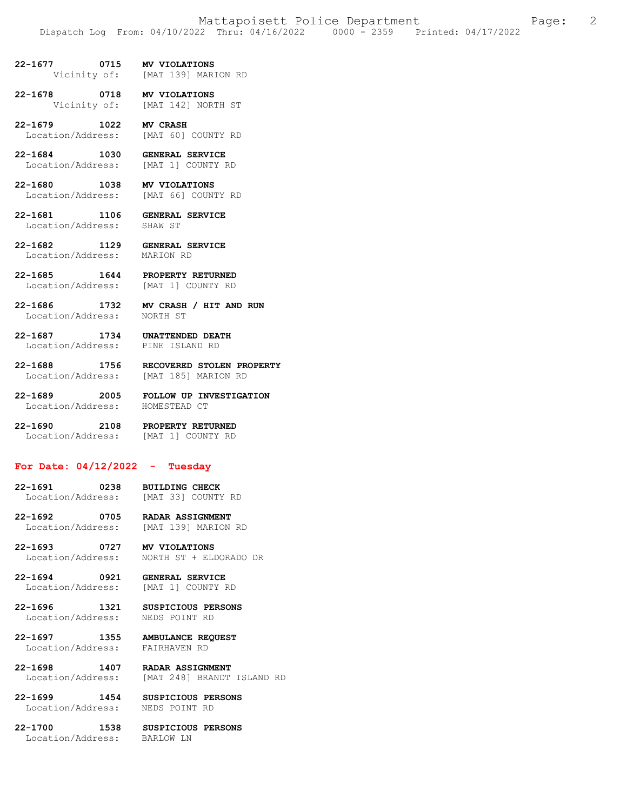- **22-1677 0715 MV VIOLATIONS**  [MAT 139] MARION RD
- **22-1678 0718 MV VIOLATIONS**<br>Vicinity of: [MAT 142] NOR! [MAT 142] NORTH ST
- **22-1679 1022 MV CRASH**  Location/Address: [MAT 60] COUNTY RD
- **22-1684 1030 GENERAL SERVICE**  Location/Address: [MAT 1] COUNTY RD
- **22-1680 1038 MV VIOLATIONS**  Location/Address: [MAT 66] COUNTY RD
- **22-1681 1106 GENERAL SERVICE**  Location/Address:
- **22-1682 1129 GENERAL SERVICE**  Location/Address:
- **22-1685 1644 PROPERTY RETURNED**  Location/Address: [MAT 1] COUNTY RD
- **22-1686 1732 MV CRASH / HIT AND RUN**  Location/Address: NORTH ST
- **22-1687 1734 UNATTENDED DEATH**  Location/Address: PINE ISLAND RD
- 
- **22-1688 1756 RECOVERED STOLEN PROPERTY**  Location/Address: [MAT 185] MARION RD
- **22-1689 2005 FOLLOW UP INVESTIGATION**  Location/Address:
- **22-1690 2108 PROPERTY RETURNED**  Location/Address: [MAT 1] COUNTY RD

## **For Date: 04/12/2022 - Tuesday**

- **22-1691 0238 BUILDING CHECK**  Location/Address:
- **22-1692 0705 RADAR ASSIGNMENT**  Location/Address: [MAT 139] MARION RD
- **22-1693 0727 MV VIOLATIONS**  Location/Address: NORTH ST + ELDORADO DR
- **22-1694 0921 GENERAL SERVICE**  Location/Address: [MAT 1] COUNTY RD
- **22-1696 1321 SUSPICIOUS PERSONS**  Location/Address: NEDS POINT RD
- **22-1697 1355 AMBULANCE REQUEST**  Location/Address: FAIRHAVEN RD
- **22-1698 1407 RADAR ASSIGNMENT**  Location/Address: [MAT 248] BRANDT ISLAND RD
- **22-1699 1454 SUSPICIOUS PERSONS**
- Location/Address: NEDS POINT RD
- Location/Address: BARLOW LN
- **22-1700 1538 SUSPICIOUS PERSONS**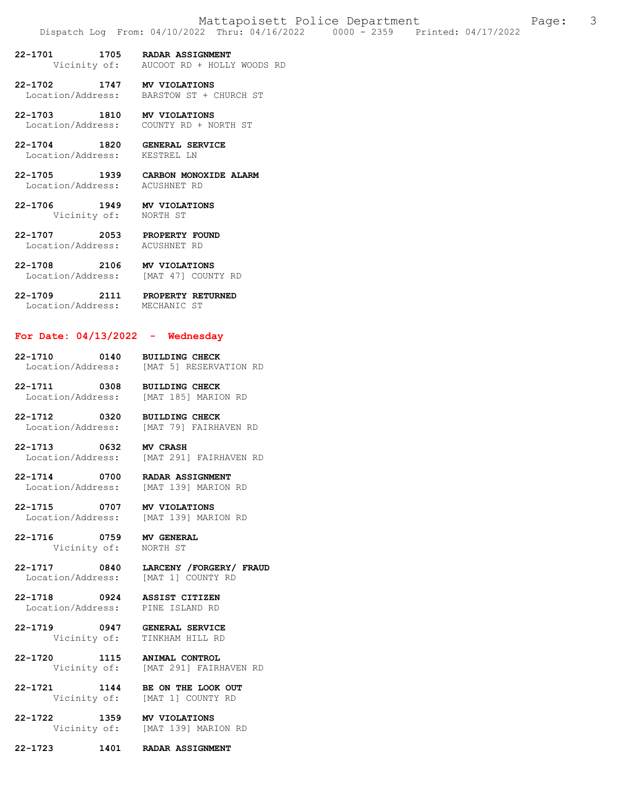- **22-1701 1705 RADAR ASSIGNMENT**<br>Vicinity of: AUCOOT RD + HOLLY AUCOOT RD + HOLLY WOODS RD
- **22-1702 1747 MV VIOLATIONS**  BARSTOW ST + CHURCH ST
- **22-1703 1810 MV VIOLATIONS**  Location/Address: COUNTY RD + NORTH ST
- **22-1704 1820 GENERAL SERVICE**  Location/Address:
- **22-1705 1939 CARBON MONOXIDE ALARM**  Location/Address:
- **22-1706 1949 MV VIOLATIONS**  Vicinity of:
- **22-1707 2053 PROPERTY FOUND**  Location/Address: ACUSHNET RD
- **22-1708 2106 MV VIOLATIONS**  Location/Address: [MAT 47] COUNTY RD
- **22-1709 2111 PROPERTY RETURNED**  Location/Address: MECHANIC ST

#### **For Date: 04/13/2022 - Wednesday**

- **22-1710 0140 BUILDING CHECK**  Location/Address: [MAT 5] RESERVATION RD
- **22-1711 0308 BUILDING CHECK**  Location/Address: [MAT 185] MARION RD
- **22-1712 0320 BUILDING CHECK**  [MAT 79] FAIRHAVEN RD
- **22-1713 0632 MV CRASH**  Location/Address: [MAT 291] FAIRHAVEN RD
- **22-1714 0700 RADAR ASSIGNMENT**  [MAT 139] MARION RD
- **22-1715 0707 MV VIOLATIONS**  Location/Address:
- **22-1716 0759 MV GENERAL**  Vicinity of:
- **22-1717 0840 LARCENY /FORGERY/ FRAUD**  Location/Address: [MAT 1] COUNTY RD
- **22-1718 0924 ASSIST CITIZEN**  Location/Address:
- **22-1719 0947 GENERAL SERVICE**  TINKHAM HILL RD
- **22-1720 1115 ANIMAL CONTROL**  Vicinity of: [MAT 291] FAIRHAVEN RD
- **22-1721 1144 BE ON THE LOOK OUT**  Vicinity of: [MAT 1] COUNTY RD
- **22-1722 1359 MV VIOLATIONS**  Vicinity of: [MAT 139] MARION RD
- **22-1723 1401 RADAR ASSIGNMENT**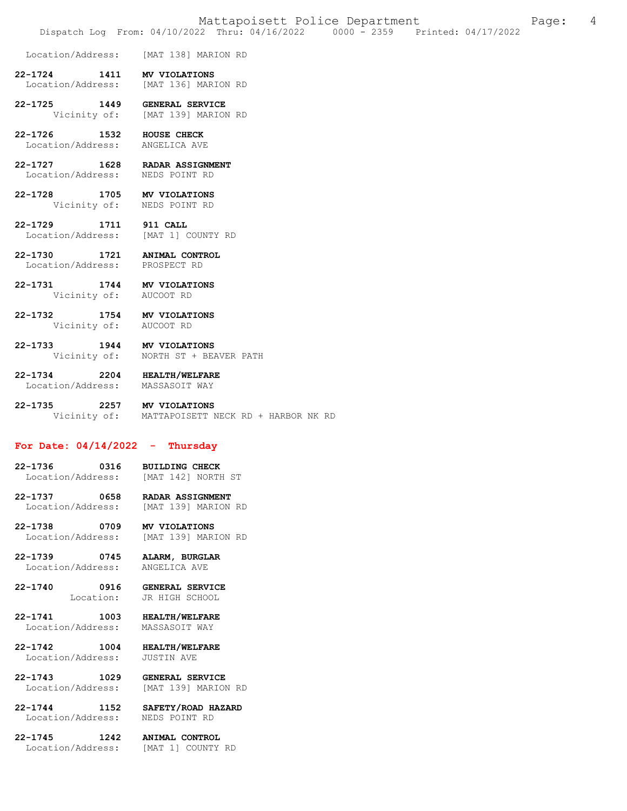Location/Address: [MAT 138] MARION RD

- **22-1724 1411 MV VIOLATIONS**  [MAT 136] MARION RD
- **22-1725 1449 GENERAL SERVICE**  Vicinity of: [MAT 139] MARION RD
- **22-1726 1532 HOUSE CHECK**  Location/Address:
- **22-1727 1628 RADAR ASSIGNMENT**  Location/Address: NEDS POINT RD
- **22-1728 1705 MV VIOLATIONS**  Vicinity of: NEDS POINT RD
- **22-1729 1711 911 CALL**  Location/Address:
- **22-1730 1721 ANIMAL CONTROL**  Location/Address: PROSPECT RD
- **22-1731 1744 MV VIOLATIONS**  Vicinity of:
- **22-1732 1754 MV VIOLATIONS**  Vicinity of: AUCOOT RD
- **22-1733 1944 MV VIOLATIONS**  NORTH ST + BEAVER PATH
- **22-1734 2204 HEALTH/WELFARE**  Location/Address: MASSASOIT WAY
- **22-1735 2257 MV VIOLATIONS**  Vicinity of: MATTAPOISETT NECK RD + HARBOR NK RD

## **For Date: 04/14/2022 - Thursday**

- **22-1736 0316 BUILDING CHECK**  Location/Address: [MAT 142] NORTH ST
- **22-1737 0658 RADAR ASSIGNMENT**  Location/Address: [MAT 139] MARION RD
- **22-1738 0709 MV VIOLATIONS**  Location/Address: [MAT 139] MARION RD
- **22-1739 0745 ALARM, BURGLAR**  Location/Address: ANGELICA AVE
- **22-1740 0916 GENERAL SERVICE**  JR HIGH SCHOOL
- **22-1741 1003 HEALTH/WELFARE**
- Location/Address: MASSASOIT WAY
- **22-1742 1004 HEALTH/WELFARE**  Location/Address:
- **22-1743 1029 GENERAL SERVICE**  Location/Address: [MAT 139] MARION RD
- **22-1744 1152 SAFETY/ROAD HAZARD**
- 
- Location/Address: [MAT 1] COUNTY RD
- **22-1745 1242 ANIMAL CONTROL**

NEDS POINT RD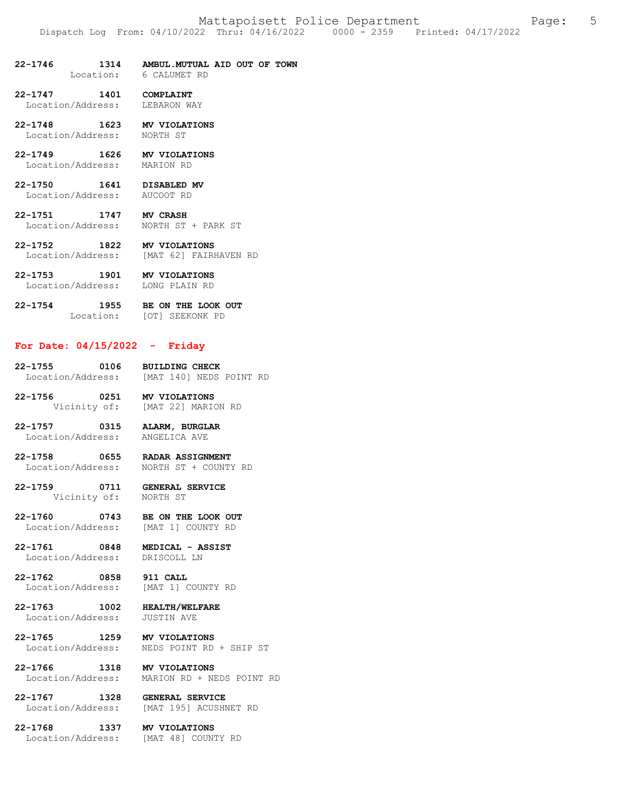**22-1746 1314 AMBUL.MUTUAL AID OUT OF TOWN**  Location: 6 CALUMET RD

**22-1747 1401 COMPLAINT**  Location/Address:

- **22-1748 1623 MV VIOLATIONS** 
	- Location/Address: NORTH ST
- **22-1749 1626 MV VIOLATIONS**  Location/Address:
- **22-1750 1641 DISABLED MV**  Location/Address: AUCOOT RD
- **22-1751 1747 MV CRASH**  Location/Address: NORTH ST + PARK ST
- **22-1752 1822 MV VIOLATIONS**  Location/Address: [MAT 62] FAIRHAVEN RD
- **22-1753 1901 MV VIOLATIONS**  Location/Address:
- **22-1754 1955 BE ON THE LOOK OUT**  Location: [OT] SEEKONK PD

#### **For Date: 04/15/2022 - Friday**

- **22-1755 0106 BUILDING CHECK**  [MAT 140] NEDS POINT RD
- **22-1756 0251 MV VIOLATIONS**  Vicinity of: [MAT 22] MARION RD
- **22-1757 0315 ALARM, BURGLAR**  Location/Address: ANGELICA AVE
- **22-1758 0655 RADAR ASSIGNMENT**  Location/Address: NORTH ST + COUNTY RD
- **22-1759 0711 GENERAL SERVICE**  Vicinity of: NORTH ST
- 
- **22-1760 0743 BE ON THE LOOK OUT**  Location/Address: [MAT 1] COUNTY RD
- **22-1761 0848 MEDICAL ASSIST**  Location/Address:
- **22-1762 0858 911 CALL**  Location/Address: [MAT 1] COUNTY RD
- **22-1763 1002 HEALTH/WELFARE**  Location/Address: JUSTIN AVE
	-
- **22-1765 1259 MV VIOLATIONS**  NEDS POINT RD + SHIP ST
- **22-1766 1318 MV VIOLATIONS**  Location/Address: MARION RD + NEDS POINT RD
- **22-1767 1328 GENERAL SERVICE**  [MAT 195] ACUSHNET RD
- **22-1768 1337 MV VIOLATIONS**  Location/Address: [MAT 48] COUNTY RD
	-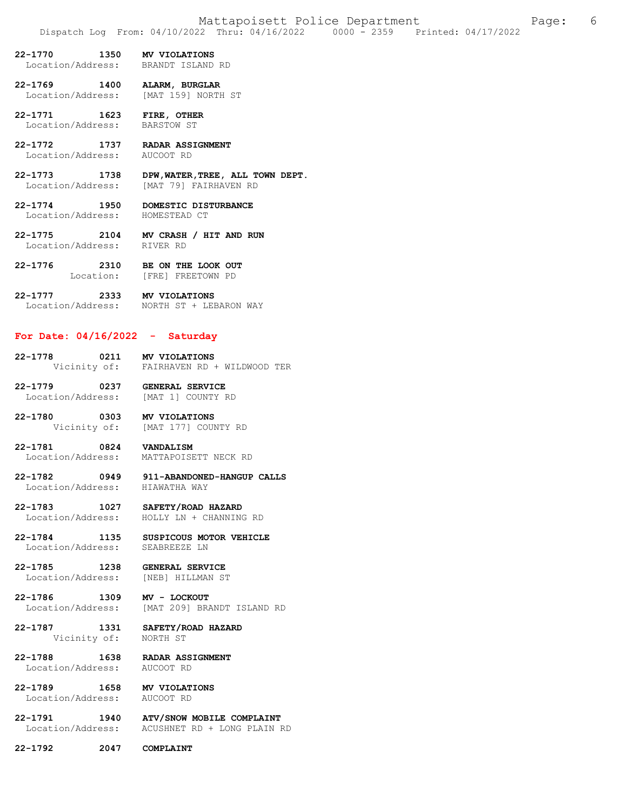- **22-1770 1350 MV VIOLATIONS**  Location/Address:
- **22-1769 1400 ALARM, BURGLAR**  [MAT 159] NORTH ST
- **22-1771 1623 FIRE, OTHER**  Location/Address:
- **22-1772 1737 RADAR ASSIGNMENT**  Location/Address:
- **22-1773 1738 DPW,WATER,TREE, ALL TOWN DEPT.**  [MAT 79] FAIRHAVEN RD
- **22-1774 1950 DOMESTIC DISTURBANCE**  Location/Address:
- **22-1775 2104 MV CRASH / HIT AND RUN**  Location/Address: RIVER RD
- **22-1776 2310 BE ON THE LOOK OUT**  Location: [FRE] FREETOWN PD
- **22-1777 2333 MV VIOLATIONS**  Location/Address: NORTH ST + LEBARON WAY

# **For Date: 04/16/2022 - Saturday**

- **22-1778 0211 MV VIOLATIONS**<br>Vicinity of: FAIRHAVEN RD FAIRHAVEN RD + WILDWOOD TER
- **22-1779 0237 GENERAL SERVICE**  Location/Address: [MAT 1] COUNTY RD
- **22-1780 0303 MV VIOLATIONS**  Vicinity of: [MAT 177] COUNTY RD
- **22-1781 0824 VANDALISM**  Location/Address: MATTAPOISETT NECK RD
- **22-1782 0949 911-ABANDONED-HANGUP CALLS**  Location/Address:
- **22-1783 1027 SAFETY/ROAD HAZARD**  HOLLY LN + CHANNING RD
- **22-1784 1135 SUSPICOUS MOTOR VEHICLE**  Location/Address: SEABREEZE LN
- **22-1785 1238 GENERAL SERVICE**  Location/Address: [NEB] HILLMAN ST
- **22-1786 1309 MV LOCKOUT**  [MAT 209] BRANDT ISLAND RD
- **22-1787 1331 SAFETY/ROAD HAZARD**  Vicinity of:
- **22-1788 1638 RADAR ASSIGNMENT**  Location/Address:
- **22-1789 1658 MV VIOLATIONS**  Location/Address:
- **22-1791 1940 ATV/SNOW MOBILE COMPLAINT**  Location/Address: ACUSHNET RD + LONG PLAIN RD
- **22-1792 2047 COMPLAINT**